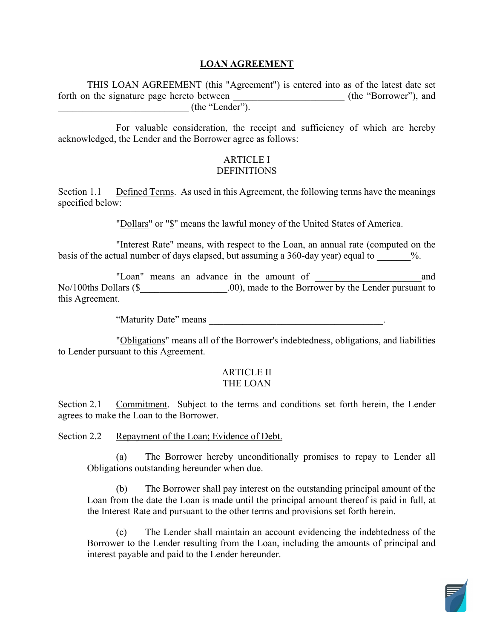## **LOAN AGREEMENT**

 THIS LOAN AGREEMENT (this "Agreement") is entered into as of the latest date set forth on the signature page hereto between \_\_\_\_\_\_\_\_\_\_\_\_\_\_\_\_\_\_\_\_\_\_\_\_ (the "Borrower"), and  $\sqrt{ }$  (the "Lender").

 acknowledged, the Lender and the Borrower agree as follows: For valuable consideration, the receipt and sufficiency of which are hereby

#### ARTICLE I DEFINITIONS

Section 1.1 Defined Terms. As used in this Agreement, the following terms have the meanings specified below:

"Dollars" or "\$" means the lawful money of the United States of America.

"Interest Rate" means, with respect to the Loan, an annual rate (computed on the basis of the actual number of days elapsed, but assuming a 360-day year) equal to  $\%$ .

 No/100ths Dollars (\$\_\_\_\_\_\_\_\_\_\_\_\_\_\_\_\_\_\_.00), made to the Borrower by the Lender pursuant to "Loan" means an advance in the amount of and this Agreement.

"Maturity Date" means

"Obligations" means all of the Borrower's indebtedness, obligations, and liabilities to Lender pursuant to this Agreement.

#### ARTICLE II THE LOAN

Section 2.1 Commitment. Subject to the terms and conditions set forth herein, the Lender agrees to make the Loan to the Borrower.

Section 2.2 Repayment of the Loan; Evidence of Debt.

(a) The Borrower hereby unconditionally promises to repay to Lender all Obligations outstanding hereunder when due.

 (b) The Borrower shall pay interest on the outstanding principal amount of the the Interest Rate and pursuant to the other terms and provisions set forth herein. Loan from the date the Loan is made until the principal amount thereof is paid in full, at

(c) The Lender shall maintain an account evidencing the indebtedness of the Borrower to the Lender resulting from the Loan, including the amounts of principal and interest payable and paid to the Lender hereunder.

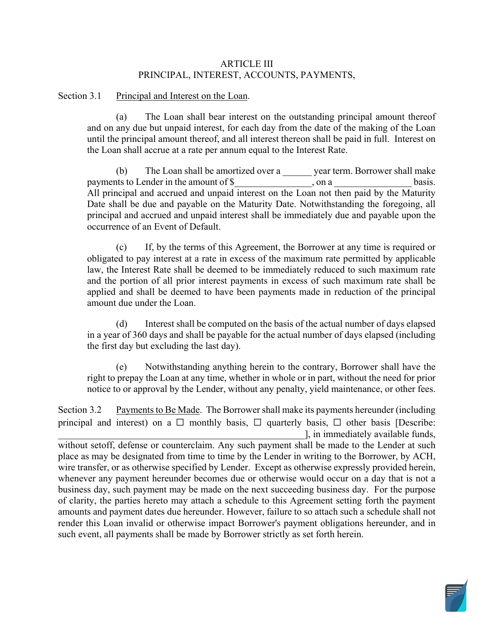### ARTICLE III PRINCIPAL, INTEREST, ACCOUNTS, PAYMENTS,

Section 3.1 Principal and Interest on the Loan.

(a) The Loan shall bear interest on the outstanding principal amount thereof and on any due but unpaid interest, for each day from the date of the making of the Loan until the principal amount thereof, and all interest thereon shall be paid in full. Interest on the Loan shall accrue at a rate per annum equal to the Interest Rate.

(b) The Loan shall be amortized over a \_\_\_\_\_\_ year term. Borrower shall make to Lender in the amount of  $\frac{1}{2}$ , on a \_\_\_\_\_\_\_\_\_\_\_ basis. payments to Lender in the amount of \$ \, on a  $\blacksquare$ All principal and accrued and unpaid interest on the Loan not then paid by the Maturity Date shall be due and payable on the Maturity Date. Notwithstanding the foregoing, all principal and accrued and unpaid interest shall be immediately due and payable upon the occurrence of an Event of Default.

 (c) If, by the terms of this Agreement, the Borrower at any time is required or and the portion of all prior interest payments in excess of such maximum rate shall be obligated to pay interest at a rate in excess of the maximum rate permitted by applicable law, the Interest Rate shall be deemed to be immediately reduced to such maximum rate applied and shall be deemed to have been payments made in reduction of the principal amount due under the Loan.

 the first day but excluding the last day). (d) Interest shall be computed on the basis of the actual number of days elapsed in a year of 360 days and shall be payable for the actual number of days elapsed (including

(e) Notwithstanding anything herein to the contrary, Borrower shall have the right to prepay the Loan at any time, whether in whole or in part, without the need for prior notice to or approval by the Lender, without any penalty, yield maintenance, or other fees.

Section 3.2 Payments to Be Made. The Borrower shall make its payments hereunder (including amounts and payment dates due hereunder. However, failure to so attach such a schedule shall not render this Loan invalid or otherwise impact Borrower's payment obligations hereunder, and in such event, all payments shall be made by Borrower strictly as set forth herein. principal and interest) on a  $\Box$  monthly basis,  $\Box$  quarterly basis,  $\Box$  other basis [Describe: \_\_\_\_\_\_\_\_\_\_\_\_\_\_\_\_\_\_\_\_\_\_\_\_\_\_\_\_\_\_\_\_\_\_\_\_\_\_\_\_\_\_\_\_\_\_\_\_\_\_\_], in immediately available funds, without setoff, defense or counterclaim. Any such payment shall be made to the Lender at such place as may be designated from time to time by the Lender in writing to the Borrower, by ACH, wire transfer, or as otherwise specified by Lender. Except as otherwise expressly provided herein, whenever any payment hereunder becomes due or otherwise would occur on a day that is not a business day, such payment may be made on the next succeeding business day. For the purpose of clarity, the parties hereto may attach a schedule to this Agreement setting forth the payment

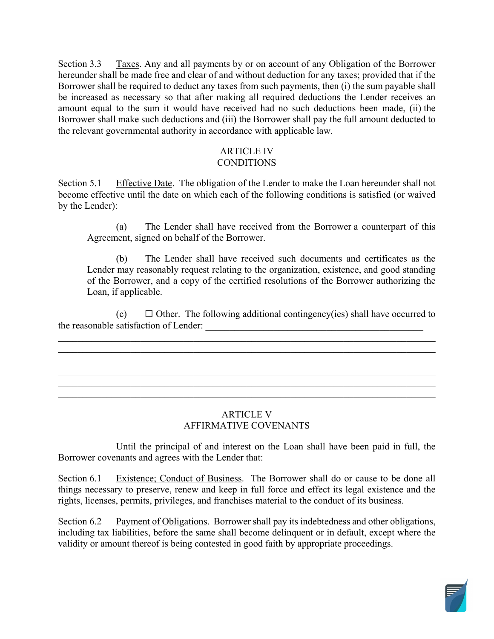Section 3.3 hereunder shall be made free and clear of and without deduction for any taxes; provided that if the Borrower shall make such deductions and (iii) the Borrower shall pay the full amount deducted to the relevant governmental authority in accordance with applicable law. Taxes. Any and all payments by or on account of any Obligation of the Borrower Borrower shall be required to deduct any taxes from such payments, then (i) the sum payable shall be increased as necessary so that after making all required deductions the Lender receives an amount equal to the sum it would have received had no such deductions been made, (ii) the

#### ARTICLE IV **CONDITIONS**

Section 5.1 Effective Date. The obligation of the Lender to make the Loan hereunder shall not become effective until the date on which each of the following conditions is satisfied (or waived by the Lender):

 (a) The Lender shall have received from the Borrower a counterpart of this Agreement, signed on behalf of the Borrower.

 of the Borrower, and a copy of the certified resolutions of the Borrower authorizing the (b) The Lender shall have received such documents and certificates as the Lender may reasonably request relating to the organization, existence, and good standing Loan, if applicable.

 $(c)$  $\Box$  Other. The following additional contingency(ies) shall have occurred to the reasonable satisfaction of Lender: \_\_\_\_\_\_\_\_\_\_\_\_\_\_\_\_\_\_\_\_\_\_\_\_\_\_\_\_\_\_\_\_\_\_\_\_\_\_\_\_\_\_\_\_\_

\_\_\_\_\_\_\_\_\_\_\_\_\_\_\_\_\_\_\_\_\_\_\_\_\_\_\_\_\_\_\_\_\_\_\_\_\_\_\_\_\_\_\_\_\_\_\_\_\_\_\_\_\_\_\_\_\_\_\_\_\_\_\_\_\_\_\_\_\_\_\_\_\_\_\_\_\_\_

\_\_\_\_\_\_\_\_\_\_\_\_\_\_\_\_\_\_\_\_\_\_\_\_\_\_\_\_\_\_\_\_\_\_\_\_\_\_\_\_\_\_\_\_\_\_\_\_\_\_\_\_\_\_\_\_\_\_\_\_\_\_\_\_\_\_\_\_\_\_\_\_\_\_\_\_\_\_

# ARTICLE V AFFIRMATIVE COVENANTS

Until the principal of and interest on the Loan shall have been paid in full, the Borrower covenants and agrees with the Lender that:

 things necessary to preserve, renew and keep in full force and effect its legal existence and the Section 6.1 Existence; Conduct of Business. The Borrower shall do or cause to be done all rights, licenses, permits, privileges, and franchises material to the conduct of its business.

Section 6.2 Payment of Obligations. Borrower shall pay its indebtedness and other obligations, including tax liabilities, before the same shall become delinquent or in default, except where the validity or amount thereof is being contested in good faith by appropriate proceedings.

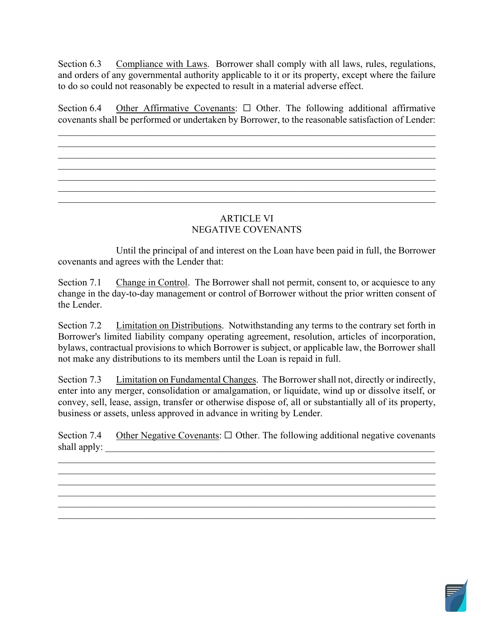Section 6.3 Compliance with Laws. Borrower shall comply with all laws, rules, regulations, to do so could not reasonably be expected to result in a material adverse effect. and orders of any governmental authority applicable to it or its property, except where the failure

 covenants shall be performed or undertaken by Borrower, to the reasonable satisfaction of Lender: Section 6.4 Other Affirmative Covenants:  $\Box$  Other. The following additional affirmative

\_\_\_\_\_\_\_\_\_\_\_\_\_\_\_\_\_\_\_\_\_\_\_\_\_\_\_\_\_\_\_\_\_\_\_\_\_\_\_\_\_\_\_\_\_\_\_\_\_\_\_\_\_\_\_\_\_\_\_\_\_\_\_\_\_\_\_\_\_\_\_\_\_\_\_\_\_\_ \_\_\_\_\_\_\_\_\_\_\_\_\_\_\_\_\_\_\_\_\_\_\_\_\_\_\_\_\_\_\_\_\_\_\_\_\_\_\_\_\_\_\_\_\_\_\_\_\_\_\_\_\_\_\_\_\_\_\_\_\_\_\_\_\_\_\_\_\_\_\_\_\_\_\_\_\_\_

 $\mathcal{L}_\mathcal{L} = \{ \mathcal{L}_\mathcal{L} = \{ \mathcal{L}_\mathcal{L} = \{ \mathcal{L}_\mathcal{L} = \{ \mathcal{L}_\mathcal{L} = \{ \mathcal{L}_\mathcal{L} = \{ \mathcal{L}_\mathcal{L} = \{ \mathcal{L}_\mathcal{L} = \{ \mathcal{L}_\mathcal{L} = \{ \mathcal{L}_\mathcal{L} = \{ \mathcal{L}_\mathcal{L} = \{ \mathcal{L}_\mathcal{L} = \{ \mathcal{L}_\mathcal{L} = \{ \mathcal{L}_\mathcal{L} = \{ \mathcal{L}_\mathcal{$ 

# ARTICLE VI NEGATIVE COVENANTS

Until the principal of and interest on the Loan have been paid in full, the Borrower covenants and agrees with the Lender that:

Section 7.1 Change in Control. The Borrower shall not permit, consent to, or acquiesce to any change in the day-to-day management or control of Borrower without the prior written consent of the Lender.

Section 7.2 Limitation on Distributions. Notwithstanding any terms to the contrary set forth in Borrower's limited liability company operating agreement, resolution, articles of incorporation, bylaws, contractual provisions to which Borrower is subject, or applicable law, the Borrower shall not make any distributions to its members until the Loan is repaid in full.

Section 7.3 Limitation on Fundamental Changes. The Borrower shall not, directly or indirectly, enter into any merger, consolidation or amalgamation, or liquidate, wind up or dissolve itself, or convey, sell, lease, assign, transfer or otherwise dispose of, all or substantially all of its property, business or assets, unless approved in advance in writing by Lender.

Section 7.4 Other Negative Covenants:  $\Box$  Other. The following additional negative covenants shall apply:

\_\_\_\_\_\_\_\_\_\_\_\_\_\_\_\_\_\_\_\_\_\_\_\_\_\_\_\_\_\_\_\_\_\_\_\_\_\_\_\_\_\_\_\_\_\_\_\_\_\_\_\_\_\_\_\_\_\_\_\_\_\_\_\_\_\_\_\_\_\_\_\_\_\_\_\_\_\_ \_\_\_\_\_\_\_\_\_\_\_\_\_\_\_\_\_\_\_\_\_\_\_\_\_\_\_\_\_\_\_\_\_\_\_\_\_\_\_\_\_\_\_\_\_\_\_\_\_\_\_\_\_\_\_\_\_\_\_\_\_\_\_\_\_\_\_\_\_\_\_\_\_\_\_\_\_\_

\_\_\_\_\_\_\_\_\_\_\_\_\_\_\_\_\_\_\_\_\_\_\_\_\_\_\_\_\_\_\_\_\_\_\_\_\_\_\_\_\_\_\_\_\_\_\_\_\_\_\_\_\_\_\_\_\_\_\_\_\_\_\_\_\_\_\_\_\_\_\_\_\_\_\_\_\_\_

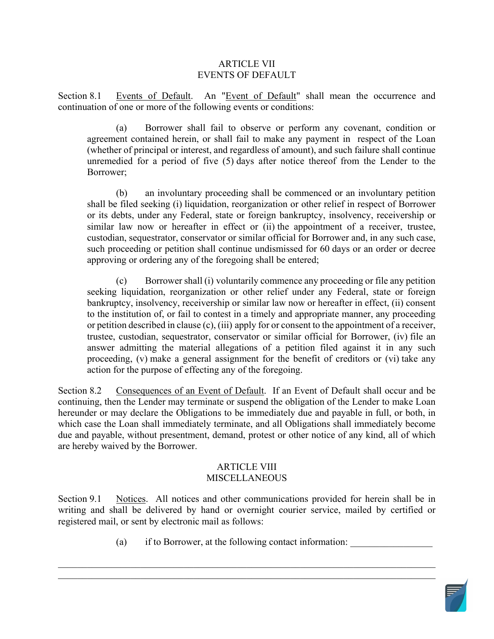### ARTICLE VII EVENTS OF DEFAULT

Section 8.1 Events of Default. An "Event of Default" shall mean the occurrence and continuation of one or more of the following events or conditions:

 agreement contained herein, or shall fail to make any payment in respect of the Loan (a) Borrower shall fail to observe or perform any covenant, condition or (whether of principal or interest, and regardless of amount), and such failure shall continue unremedied for a period of five (5) days after notice thereof from the Lender to the Borrower;

 approving or ordering any of the foregoing shall be entered; (b) an involuntary proceeding shall be commenced or an involuntary petition shall be filed seeking (i) liquidation, reorganization or other relief in respect of Borrower or its debts, under any Federal, state or foreign bankruptcy, insolvency, receivership or similar law now or hereafter in effect or (ii) the appointment of a receiver, trustee, custodian, sequestrator, conservator or similar official for Borrower and, in any such case, such proceeding or petition shall continue undismissed for 60 days or an order or decree

 bankruptcy, insolvency, receivership or similar law now or hereafter in effect, (ii) consent to the institution of, or fail to contest in a timely and appropriate manner, any proceeding action for the purpose of effecting any of the foregoing. (c) Borrower shall (i) voluntarily commence any proceeding or file any petition seeking liquidation, reorganization or other relief under any Federal, state or foreign or petition described in clause (c), (iii) apply for or consent to the appointment of a receiver, trustee, custodian, sequestrator, conservator or similar official for Borrower, (iv) file an answer admitting the material allegations of a petition filed against it in any such proceeding, (v) make a general assignment for the benefit of creditors or (vi) take any

 continuing, then the Lender may terminate or suspend the obligation of the Lender to make Loan Section 8.2 Consequences of an Event of Default. If an Event of Default shall occur and be hereunder or may declare the Obligations to be immediately due and payable in full, or both, in which case the Loan shall immediately terminate, and all Obligations shall immediately become due and payable, without presentment, demand, protest or other notice of any kind, all of which are hereby waived by the Borrower.

#### ARTICLE VIII **MISCELLANEOUS**

 registered mail, or sent by electronic mail as follows: Section 9.1 Notices. All notices and other communications provided for herein shall be in writing and shall be delivered by hand or overnight courier service, mailed by certified or

\_\_\_\_\_\_\_\_\_\_\_\_\_\_\_\_\_\_\_\_\_\_\_\_\_\_\_\_\_\_\_\_\_\_\_\_\_\_\_\_\_\_\_\_\_\_\_\_\_\_\_\_\_\_\_\_\_\_\_\_\_\_\_\_\_\_\_\_\_\_\_\_\_\_\_\_\_\_

(a) if to Borrower, at the following contact information:

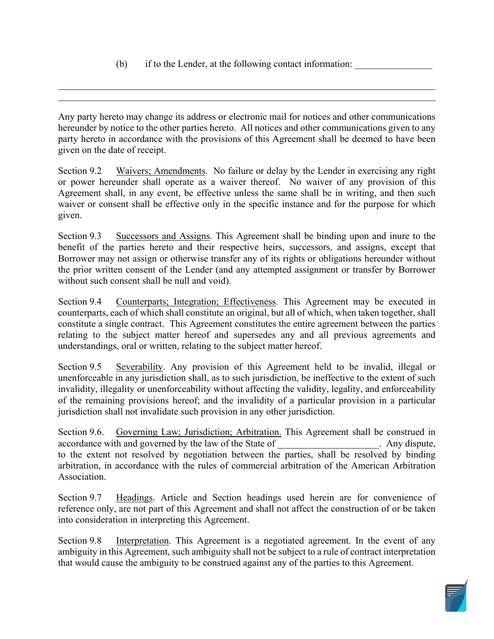party hereto in accordance with the provisions of this Agreement shall be deemed to have been Any party hereto may change its address or electronic mail for notices and other communications hereunder by notice to the other parties hereto. All notices and other communications given to any given on the date of receipt.

\_\_\_\_\_\_\_\_\_\_\_\_\_\_\_\_\_\_\_\_\_\_\_\_\_\_\_\_\_\_\_\_\_\_\_\_\_\_\_\_\_\_\_\_\_\_\_\_\_\_\_\_\_\_\_\_\_\_\_\_\_\_\_\_\_\_\_\_\_\_\_\_\_\_\_\_\_\_

Section 9.2 Waivers; Amendments. No failure or delay by the Lender in exercising any right or power hereunder shall operate as a waiver thereof. No waiver of any provision of this Agreement shall, in any event, be effective unless the same shall be in writing, and then such waiver or consent shall be effective only in the specific instance and for the purpose for which given.

Section 9.3 Successors and Assigns. This Agreement shall be binding upon and inure to the benefit of the parties hereto and their respective heirs, successors, and assigns, except that Borrower may not assign or otherwise transfer any of its rights or obligations hereunder without the prior written consent of the Lender (and any attempted assignment or transfer by Borrower without such consent shall be null and void).

 constitute a single contract. This Agreement constitutes the entire agreement between the parties understandings, oral or written, relating to the subject matter hereof. Section 9.4 Counterparts; Integration; Effectiveness. This Agreement may be executed in counterparts, each of which shall constitute an original, but all of which, when taken together, shall relating to the subject matter hereof and supersedes any and all previous agreements and

 invalidity, illegality or unenforceability without affecting the validity, legality, and enforceability jurisdiction shall not invalidate such provision in any other jurisdiction. Section 9.5 Severability. Any provision of this Agreement held to be invalid, illegal or unenforceable in any jurisdiction shall, as to such jurisdiction, be ineffective to the extent of such of the remaining provisions hereof; and the invalidity of a particular provision in a particular

accordance with and governed by the law of the State of Theorem 2011. Any dispute, Association. Section 9.6. Governing Law; Jurisdiction; Arbitration. This Agreement shall be construed in to the extent not resolved by negotiation between the parties, shall be resolved by binding arbitration, in accordance with the rules of commercial arbitration of the American Arbitration

 reference only, are not part of this Agreement and shall not affect the construction of or be taken Section 9.7 Headings. Article and Section headings used herein are for convenience of into consideration in interpreting this Agreement.

Section 9.8 Interpretation. This Agreement is a negotiated agreement. In the event of any ambiguity in this Agreement, such ambiguity shall not be subject to a rule of contract interpretation that would cause the ambiguity to be construed against any of the parties to this Agreement.